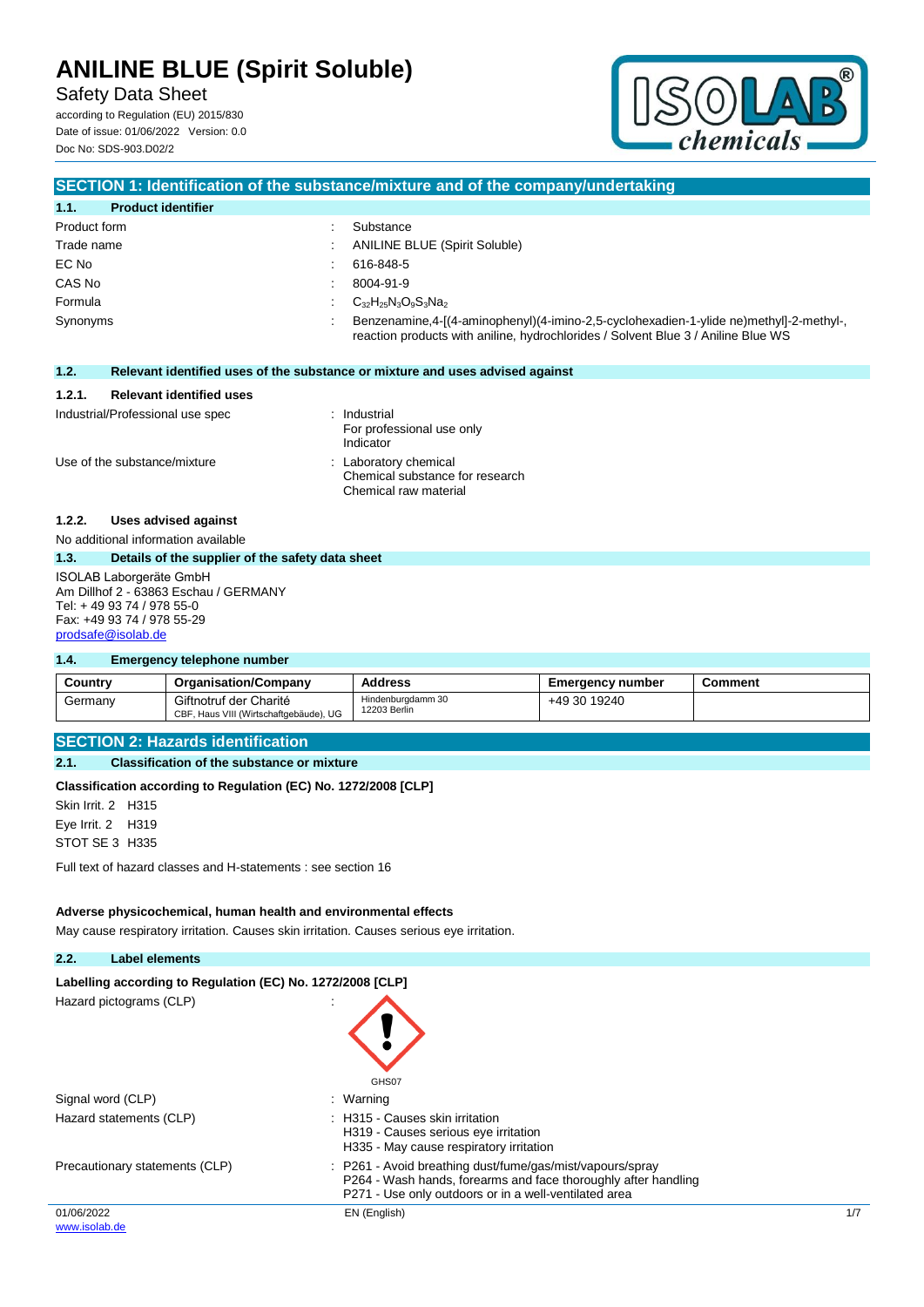Safety Data Sheet

according to Regulation (EU) 2015/830 Date of issue: 01/06/2022 Version: 0.0 Doc No: SDS-903.D02/2



## **SECTION 1: Identification of the substance/mixture and of the company/undertaking 1.1. Product identifier** Product form  $\qquad \qquad \qquad$  : Substance Trade name : ANILINE BLUE (Spirit Soluble) EC No : 616-848-5 CAS No : 8004-91-9 Formula  $C_{32}H_{25}N_3O_9S_3Na_2$ Synonyms : Benzenamine,4-[(4-aminophenyl)(4-imino-2,5-cyclohexadien-1-ylide ne)methyl]-2-methyl-, reaction products with aniline, hydrochlorides / Solvent Blue 3 / Aniline Blue WS **1.2. Relevant identified uses of the substance or mixture and uses advised against 1.2.1. Relevant identified uses** Industrial/Professional use spec : Industrial For professional use only Indicator Use of the substance/mixture : Laboratory chemical Chemical substance for research Chemical raw material **1.2.2. Uses advised against** No additional information available **1.3. Details of the supplier of the safety data sheet** ISOLAB Laborgeräte GmbH

Am Dillhof 2 - 63863 Eschau / GERMANY Tel: + 49 93 74 / 978 55-0 Fax: +49 93 74 / 978 55-29 [prodsafe@isolab.de](mailto:prodsafe@isolab.de)

### **1.4. Emergency telephone number**

| Country | <b>Organisation/Company</b>                                      | <b>Address</b>                    | <b>Emergency number</b> | Comment |
|---------|------------------------------------------------------------------|-----------------------------------|-------------------------|---------|
| Germany | Giftnotruf der Charité<br>CBF, Haus VIII (Wirtschaftgebäude), UG | Hindenburgdamm 30<br>12203 Berlin | +49 30 19240            |         |

## **SECTION 2: Hazards identification**

**2.1. Classification of the substance or mixture**

**Classification according to Regulation (EC) No. 1272/2008 [CLP]**

Skin Irrit. 2 H315 Eye Irrit. 2 H319 STOT SE 3 H335

Full text of hazard classes and H-statements : see section 16

#### **Adverse physicochemical, human health and environmental effects**

May cause respiratory irritation. Causes skin irritation. Causes serious eye irritation.

### **2.2. Label elements**

| Labelling according to Regulation (EC) No. 1272/2008 [CLP] |                                                                                                                                                                                      |     |
|------------------------------------------------------------|--------------------------------------------------------------------------------------------------------------------------------------------------------------------------------------|-----|
| Hazard pictograms (CLP)                                    | GHS07                                                                                                                                                                                |     |
| Signal word (CLP)                                          | : Warning                                                                                                                                                                            |     |
| Hazard statements (CLP)                                    | : H315 - Causes skin irritation<br>H319 - Causes serious eye irritation<br>H335 - May cause respiratory irritation                                                                   |     |
| Precautionary statements (CLP)                             | : P261 - Avoid breathing dust/fume/gas/mist/vapours/spray<br>P264 - Wash hands, forearms and face thoroughly after handling<br>P271 - Use only outdoors or in a well-ventilated area |     |
| 01/06/2022                                                 | EN (English)                                                                                                                                                                         | 1/7 |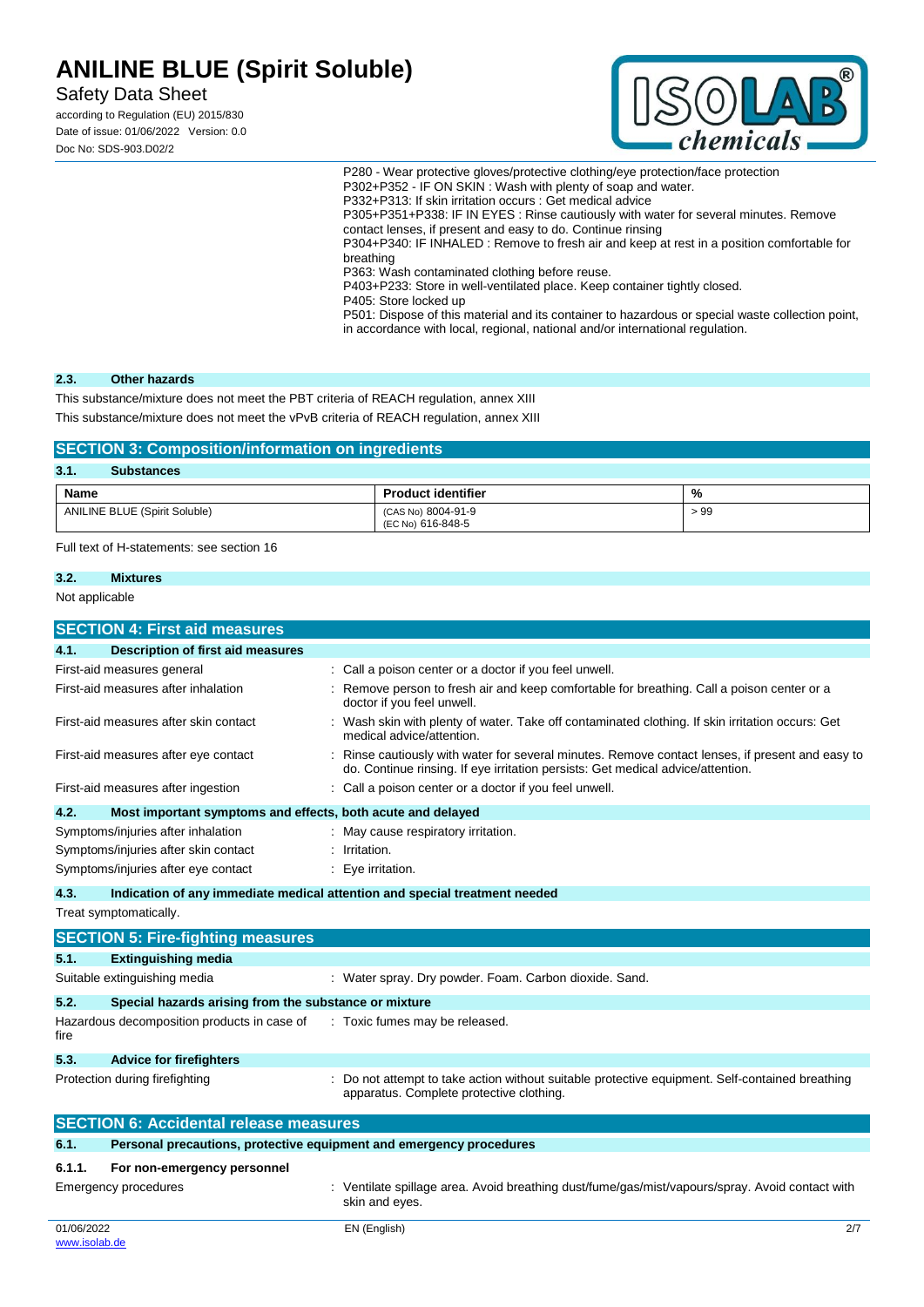Safety Data Sheet

according to Regulation (EU) 2015/830 Date of issue: 01/06/2022 Version: 0.0 Doc No: SDS-903.D02/2



P280 - Wear protective gloves/protective clothing/eye protection/face protection P302+P352 - IF ON SKIN : Wash with plenty of soap and water. P332+P313: If skin irritation occurs : Get medical advice P305+P351+P338: IF IN EYES : Rinse cautiously with water for several minutes. Remove contact lenses, if present and easy to do. Continue rinsing P304+P340: IF INHALED : Remove to fresh air and keep at rest in a position comfortable for breathing P363: Wash contaminated clothing before reuse.

P403+P233: Store in well-ventilated place. Keep container tightly closed.

P405: Store locked up

P501: Dispose of this material and its container to hazardous or special waste collection point, in accordance with local, regional, national and/or international regulation.

### **2.3. Other hazards**

This substance/mixture does not meet the PBT criteria of REACH regulation, annex XIII

This substance/mixture does not meet the vPvB criteria of REACH regulation, annex XIII

| <b>SECTION 3: Composition/information on ingredients</b> |                                         |     |  |  |
|----------------------------------------------------------|-----------------------------------------|-----|--|--|
| 3.1.<br><b>Substances</b>                                |                                         |     |  |  |
| <b>Name</b>                                              | <b>Product identifier</b>               | %   |  |  |
| <b>ANILINE BLUE (Spirit Soluble)</b>                     | (CAS No) 8004-91-9<br>(EC No) 616-848-5 | >99 |  |  |

Full text of H-statements: see section 16

#### **3.2. Mixtures**

Not applicable

|        | <b>SECTION 4: First aid measures</b>                                       |  |                                                                                                                                                                                   |  |
|--------|----------------------------------------------------------------------------|--|-----------------------------------------------------------------------------------------------------------------------------------------------------------------------------------|--|
| 4.1.   | <b>Description of first aid measures</b>                                   |  |                                                                                                                                                                                   |  |
|        | First-aid measures general                                                 |  | Call a poison center or a doctor if you feel unwell.                                                                                                                              |  |
|        | First-aid measures after inhalation                                        |  | Remove person to fresh air and keep comfortable for breathing. Call a poison center or a<br>doctor if you feel unwell.                                                            |  |
|        | First-aid measures after skin contact                                      |  | Wash skin with plenty of water. Take off contaminated clothing. If skin irritation occurs: Get<br>medical advice/attention.                                                       |  |
|        | First-aid measures after eye contact                                       |  | Rinse cautiously with water for several minutes. Remove contact lenses, if present and easy to<br>do. Continue rinsing. If eye irritation persists: Get medical advice/attention. |  |
|        | First-aid measures after ingestion                                         |  | Call a poison center or a doctor if you feel unwell.                                                                                                                              |  |
| 4.2.   | Most important symptoms and effects, both acute and delayed                |  |                                                                                                                                                                                   |  |
|        | Symptoms/injuries after inhalation                                         |  | May cause respiratory irritation.                                                                                                                                                 |  |
|        | Symptoms/injuries after skin contact                                       |  | Irritation.                                                                                                                                                                       |  |
|        | Symptoms/injuries after eye contact                                        |  | Eye irritation.                                                                                                                                                                   |  |
| 4.3.   | Indication of any immediate medical attention and special treatment needed |  |                                                                                                                                                                                   |  |
|        | Treat symptomatically.                                                     |  |                                                                                                                                                                                   |  |
|        | <b>SECTION 5: Fire-fighting measures</b>                                   |  |                                                                                                                                                                                   |  |
| 5.1.   | <b>Extinguishing media</b>                                                 |  |                                                                                                                                                                                   |  |
|        | Suitable extinguishing media                                               |  | : Water spray. Dry powder. Foam. Carbon dioxide. Sand.                                                                                                                            |  |
| 5.2.   | Special hazards arising from the substance or mixture                      |  |                                                                                                                                                                                   |  |
| fire   | Hazardous decomposition products in case of                                |  | : Toxic fumes may be released.                                                                                                                                                    |  |
| 5.3.   | <b>Advice for firefighters</b>                                             |  |                                                                                                                                                                                   |  |
|        | Protection during firefighting                                             |  | Do not attempt to take action without suitable protective equipment. Self-contained breathing<br>apparatus. Complete protective clothing.                                         |  |
|        | <b>SECTION 6: Accidental release measures</b>                              |  |                                                                                                                                                                                   |  |
| 6.1.   | Personal precautions, protective equipment and emergency procedures        |  |                                                                                                                                                                                   |  |
| 6.1.1. | For non-emergency personnel                                                |  |                                                                                                                                                                                   |  |
|        | Emergency procedures                                                       |  | . Ventilate spillage area. Avoid breathing dust/fume/gas/mist/vapours/spray. Avoid contact with                                                                                   |  |

## Emergency procedures : Ventilate spillage area. Avoid breathing dust/fume/gas/mist/vapours/spray. Avoid contact with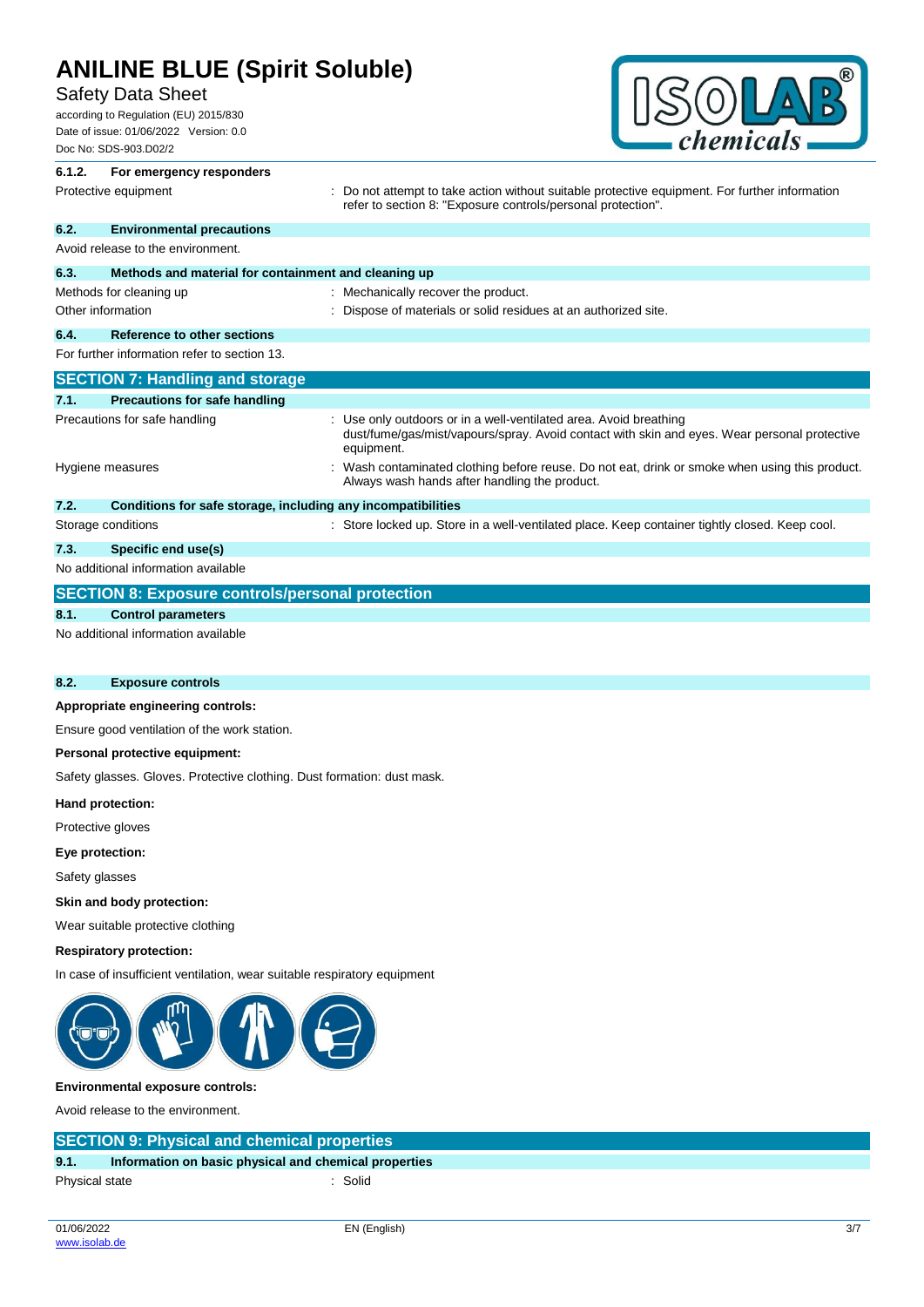## Safety Data Sheet

according to Regulation (EU) 2015/830 Date of issue: 01/06/2022 Version: 0.0 Doc No: SDS-903.D02/2



## **6.1.2. For emergency responders** Protective equipment **interprotective** curves : Do not attempt to take action without suitable protective equipment. For further information refer to section 8: "Exposure controls/personal protection". **6.2. Environmental precautions** Avoid release to the environment. **6.3. Methods and material for containment and cleaning up** Methods for cleaning up : Mechanically recover the product. Other information **intervals and the Contract of Materials or solid residues at an authorized site. 6.4. Reference to other sections** For further information refer to section 13. **SECTION 7: Handling and storage 7.1. Precautions for safe handling** Precautions for safe handling **interest of the State of the State 1**: Use only outdoors or in a well-ventilated area. Avoid breathing dust/fume/gas/mist/vapours/spray. Avoid contact with skin and eyes. Wear personal protective equipment. Hygiene measures **interpretatal in the Contaminated clothing before reuse.** Do not eat, drink or smoke when using this product. Always wash hands after handling the product. **7.2. Conditions for safe storage, including any incompatibilities** Storage conditions **in the state of the state of the state of the store locked up.** Store in a well-ventilated place. Keep container tightly closed. Keep cool. **7.3. Specific end use(s)** No additional information available **SECTION 8: Exposure controls/personal protection 8.1. Control parameters** No additional information available

#### **8.2. Exposure controls**

#### **Appropriate engineering controls:**

Ensure good ventilation of the work station.

#### **Personal protective equipment:**

Safety glasses. Gloves. Protective clothing. Dust formation: dust mask.

**Hand protection:**

Protective gloves

**Eye protection:**

Safety glasses

#### **Skin and body protection:**

Wear suitable protective clothing

#### **Respiratory protection:**

In case of insufficient ventilation, wear suitable respiratory equipment



#### **Environmental exposure controls:**

Avoid release to the environment.

## **SECTION 9: Physical and chemical properties**

| 9.1.           | Information on basic physical and chemical properties |         |
|----------------|-------------------------------------------------------|---------|
| Physical state |                                                       | : Solid |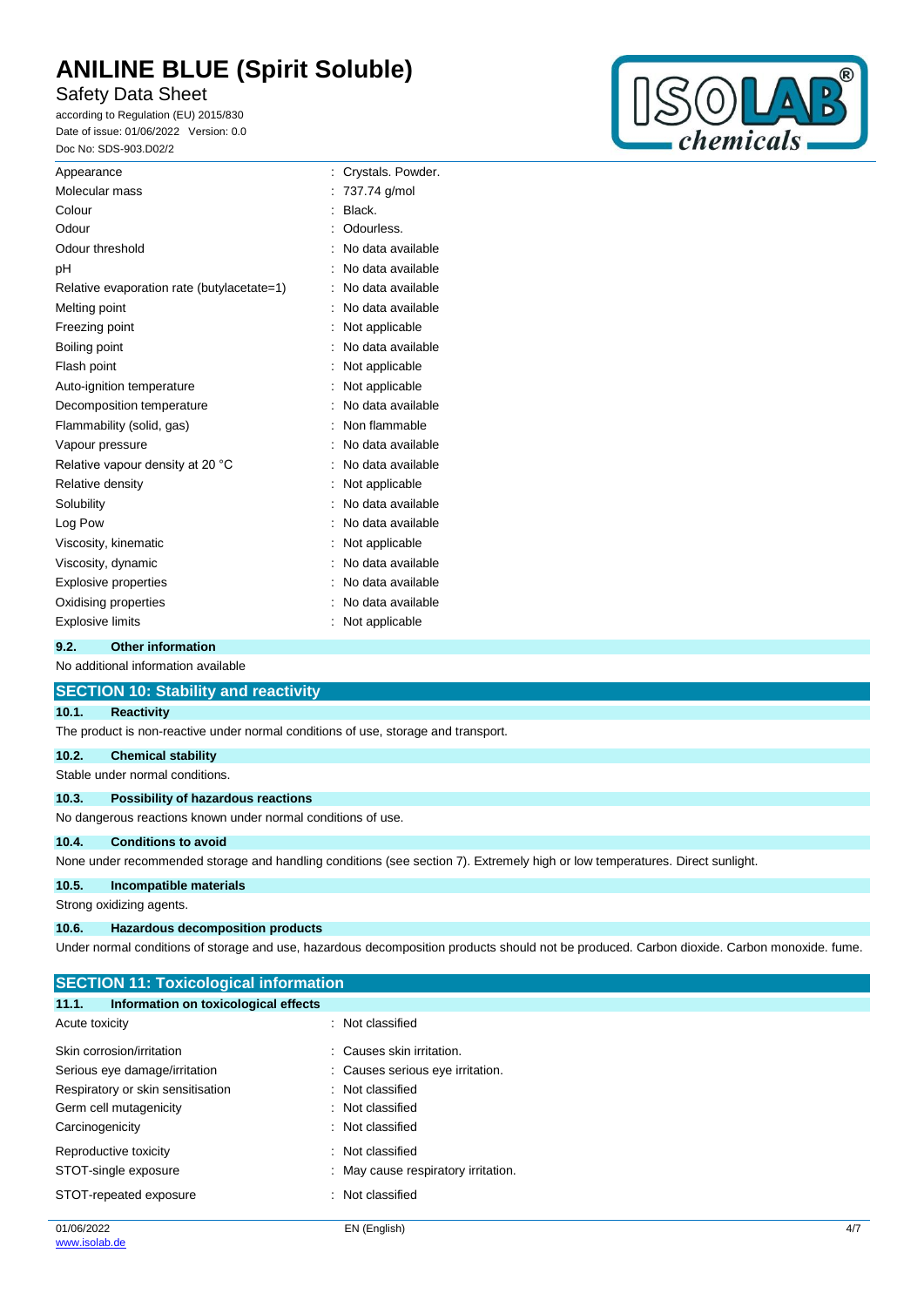Safety Data Sheet

according to Regulation (EU) 2015/830 Date of issue: 01/06/2022 Version: 0.0 Doc No: SDS-903.D02/2



| Appearance                                 | Crystals. Powder. |
|--------------------------------------------|-------------------|
| Molecular mass                             | 737.74 g/mol      |
| Colour                                     | Black.            |
| Odour                                      | Odourless.        |
| Odour threshold                            | No data available |
| pH                                         | No data available |
| Relative evaporation rate (butylacetate=1) | No data available |
| Melting point                              | No data available |
| Freezing point                             | Not applicable    |
| Boiling point                              | No data available |
| Flash point                                | Not applicable    |
| Auto-ignition temperature                  | Not applicable    |
| Decomposition temperature                  | No data available |
| Flammability (solid, gas)                  | Non flammable     |
| Vapour pressure                            | No data available |
| Relative vapour density at 20 °C           | No data available |
| Relative density                           | Not applicable    |
| Solubility                                 | No data available |
| Log Pow                                    | No data available |
| Viscosity, kinematic                       | Not applicable    |
| Viscosity, dynamic                         | No data available |
| <b>Explosive properties</b>                | No data available |
| Oxidising properties                       | No data available |
| <b>Explosive limits</b>                    | Not applicable    |
|                                            |                   |

## **9.2. Other information**

No additional information available

|       | <b>SECTION 10: Stability and reactivity</b>                                                                                                 |
|-------|---------------------------------------------------------------------------------------------------------------------------------------------|
| 10.1. | <b>Reactivity</b>                                                                                                                           |
|       | The product is non-reactive under normal conditions of use, storage and transport.                                                          |
| 10.2. | <b>Chemical stability</b>                                                                                                                   |
|       | Stable under normal conditions.                                                                                                             |
| 10.3. | Possibility of hazardous reactions                                                                                                          |
|       | No dangerous reactions known under normal conditions of use.                                                                                |
| 10.4. | <b>Conditions to avoid</b>                                                                                                                  |
|       | None under recommended storage and handling conditions (see section 7). Extremely high or low temperatures. Direct sunlight.                |
| 10.5. | Incompatible materials                                                                                                                      |
|       | Strong oxidizing agents.                                                                                                                    |
| 10.6. | <b>Hazardous decomposition products</b>                                                                                                     |
|       | Under normal conditions of storage and use, hazardous decomposition products should not be produced. Carbon dioxide. Carbon monoxide. fume. |

| : Not classified                  |
|-----------------------------------|
| Causes skin irritation.           |
| : Causes serious eye irritation.  |
| : Not classified                  |
| : Not classified                  |
| : Not classified                  |
| : Not classified                  |
| May cause respiratory irritation. |
| : Not classified                  |
|                                   |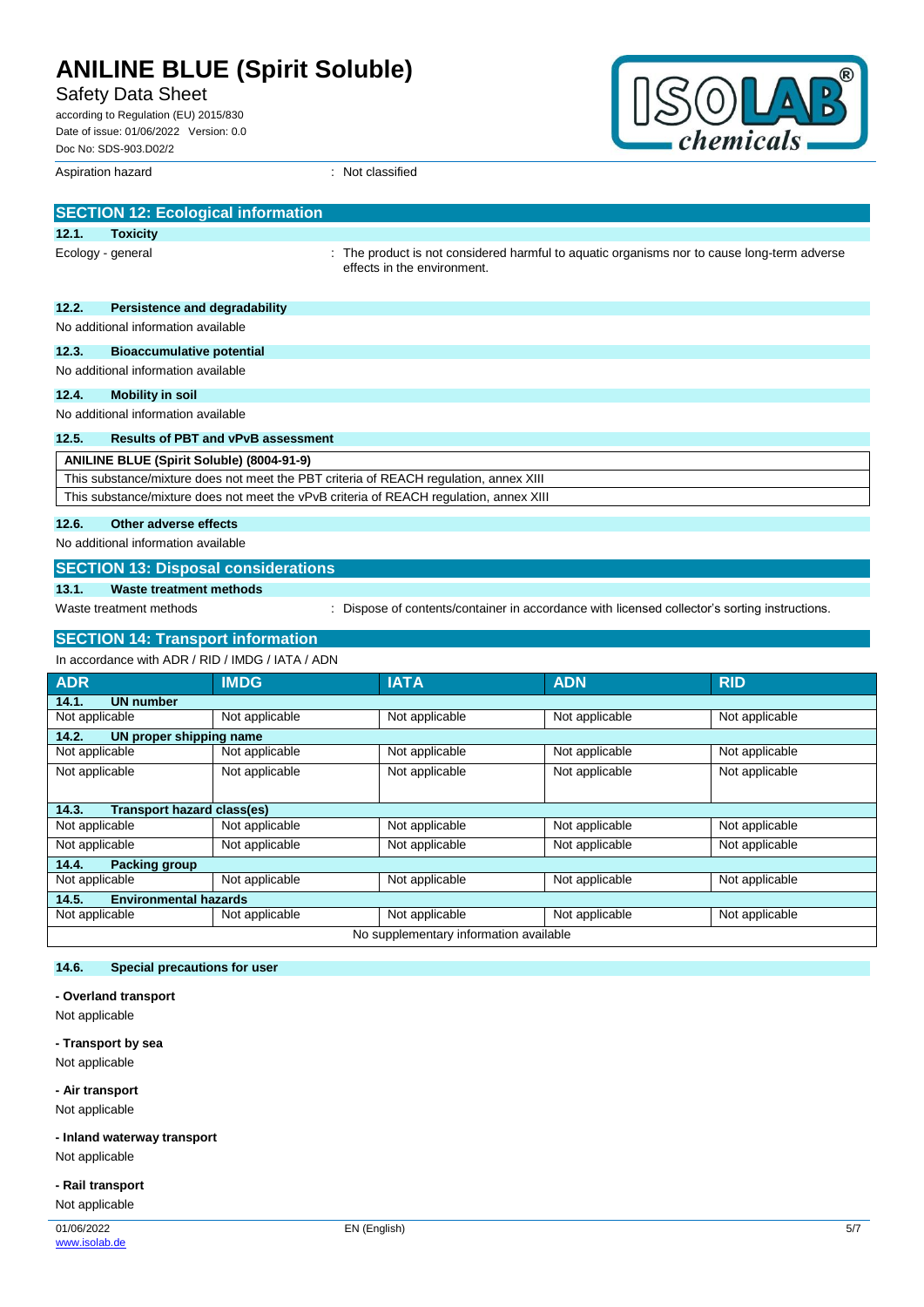Safety Data Sheet

| according to Regulation (EU) 2015/830  |  |  |  |
|----------------------------------------|--|--|--|
| Date of issue: 01/06/2022 Version: 0.0 |  |  |  |
| Doc No: SDS-903.D02/2                  |  |  |  |

Aspiration hazard : Not classified



|                                                  | <b>SECTION 12: Ecological information</b>                                              |                                                                                                                            |  |  |
|--------------------------------------------------|----------------------------------------------------------------------------------------|----------------------------------------------------------------------------------------------------------------------------|--|--|
| 12.1.                                            | <b>Toxicity</b>                                                                        |                                                                                                                            |  |  |
|                                                  | Ecology - general                                                                      | : The product is not considered harmful to aquatic organisms nor to cause long-term adverse<br>effects in the environment. |  |  |
| 12.2.                                            | Persistence and degradability                                                          |                                                                                                                            |  |  |
|                                                  | No additional information available                                                    |                                                                                                                            |  |  |
| 12.3.                                            | <b>Bioaccumulative potential</b>                                                       |                                                                                                                            |  |  |
|                                                  | No additional information available                                                    |                                                                                                                            |  |  |
| 12.4.                                            | <b>Mobility in soil</b>                                                                |                                                                                                                            |  |  |
|                                                  | No additional information available                                                    |                                                                                                                            |  |  |
| 12.5.                                            | <b>Results of PBT and vPvB assessment</b>                                              |                                                                                                                            |  |  |
| <b>ANILINE BLUE (Spirit Soluble) (8004-91-9)</b> |                                                                                        |                                                                                                                            |  |  |
|                                                  | This substance/mixture does not meet the PBT criteria of REACH regulation, annex XIII  |                                                                                                                            |  |  |
|                                                  | This substance/mixture does not meet the vPvB criteria of REACH regulation, annex XIII |                                                                                                                            |  |  |

### **12.6. Other adverse effects**

No additional information available

## **SECTION 13: Disposal considerations**

## **13.1. Waste treatment methods**

Waste treatment methods : Dispose of contents/container in accordance with licensed collector's sorting instructions.

## **SECTION 14: Transport information**

In accordance with ADR / RID / IMDG / IATA / ADN

| <b>ADR</b>                             | <b>IMDG</b>    | <b>IATA</b>    | <b>ADN</b>     | <b>RID</b>     |
|----------------------------------------|----------------|----------------|----------------|----------------|
| 14.1.<br><b>UN number</b>              |                |                |                |                |
| Not applicable                         | Not applicable | Not applicable | Not applicable | Not applicable |
| 14.2.<br>UN proper shipping name       |                |                |                |                |
| Not applicable                         | Not applicable | Not applicable | Not applicable | Not applicable |
| Not applicable                         | Not applicable | Not applicable | Not applicable | Not applicable |
|                                        |                |                |                |                |
| Transport hazard class(es)<br>14.3.    |                |                |                |                |
| Not applicable                         | Not applicable | Not applicable | Not applicable | Not applicable |
| Not applicable                         | Not applicable | Not applicable | Not applicable | Not applicable |
| 14.4.<br><b>Packing group</b>          |                |                |                |                |
| Not applicable                         | Not applicable | Not applicable | Not applicable | Not applicable |
| <b>Environmental hazards</b><br>14.5.  |                |                |                |                |
| Not applicable                         | Not applicable | Not applicable | Not applicable | Not applicable |
| No supplementary information available |                |                |                |                |

## **14.6. Special precautions for user**

### **- Overland transport**

Not applicable

**- Transport by sea**

Not applicable

**- Air transport** Not applicable

**- Inland waterway transport**

Not applicable

**- Rail transport**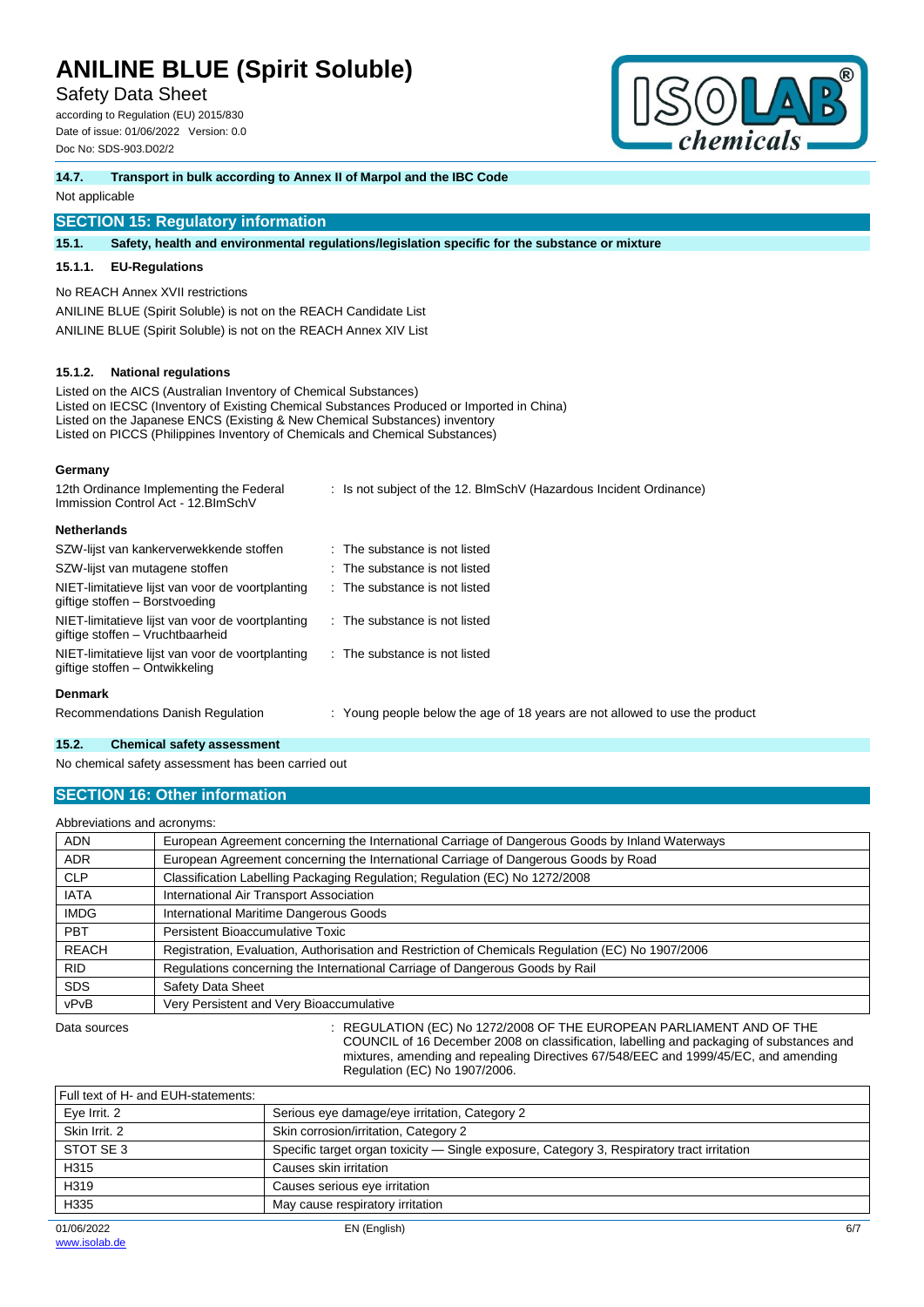Safety Data Sheet

according to Regulation (EU) 2015/830 Date of issue: 01/06/2022 Version: 0.0 Doc No: SDS-903.D02/2



#### **14.7. Transport in bulk according to Annex II of Marpol and the IBC Code**

Not applicable

## **SECTION 15: Regulatory information**

**15.1. Safety, health and environmental regulations/legislation specific for the substance or mixture**

#### **15.1.1. EU-Regulations**

No REACH Annex XVII restrictions

ANILINE BLUE (Spirit Soluble) is not on the REACH Candidate List ANILINE BLUE (Spirit Soluble) is not on the REACH Annex XIV List

### **15.1.2. National regulations**

Listed on the AICS (Australian Inventory of Chemical Substances) Listed on IECSC (Inventory of Existing Chemical Substances Produced or Imported in China) Listed on the Japanese ENCS (Existing & New Chemical Substances) inventory Listed on PICCS (Philippines Inventory of Chemicals and Chemical Substances)

### **Germany**

| 12th Ordinance Implementing the Federal<br>Immission Control Act - 12. BlmSchV       | : Is not subject of the 12. BlmSchV (Hazardous Incident Ordinance)          |
|--------------------------------------------------------------------------------------|-----------------------------------------------------------------------------|
| <b>Netherlands</b>                                                                   |                                                                             |
| SZW-lijst van kankerverwekkende stoffen                                              | $\therefore$ The substance is not listed                                    |
| SZW-lijst van mutagene stoffen                                                       | $\therefore$ The substance is not listed                                    |
| NIET-limitatieve lijst van voor de voortplanting<br>giftige stoffen - Borstvoeding   | $\therefore$ The substance is not listed                                    |
| NIET-limitatieve lijst van voor de voortplanting<br>giftige stoffen – Vruchtbaarheid | : The substance is not listed                                               |
| NIET-limitatieve lijst van voor de voortplanting<br>giftige stoffen - Ontwikkeling   | $\therefore$ The substance is not listed                                    |
| <b>Denmark</b>                                                                       |                                                                             |
| Recommendations Danish Regulation                                                    | : Young people below the age of 18 years are not allowed to use the product |
|                                                                                      |                                                                             |

### **15.2. Chemical safety assessment**

No chemical safety assessment has been carried out

## **SECTION 16: Other information**

Abbreviations and acronyms:

| Abbieviations and actorigins. |                                                                                                   |  |  |
|-------------------------------|---------------------------------------------------------------------------------------------------|--|--|
| <b>ADN</b>                    | European Agreement concerning the International Carriage of Dangerous Goods by Inland Waterways   |  |  |
| <b>ADR</b>                    | European Agreement concerning the International Carriage of Dangerous Goods by Road               |  |  |
| <b>CLP</b>                    | Classification Labelling Packaging Regulation; Regulation (EC) No 1272/2008                       |  |  |
| <b>IATA</b>                   | International Air Transport Association                                                           |  |  |
| <b>IMDG</b>                   | International Maritime Dangerous Goods                                                            |  |  |
| <b>PBT</b>                    | Persistent Bioaccumulative Toxic                                                                  |  |  |
| <b>REACH</b>                  | Registration, Evaluation, Authorisation and Restriction of Chemicals Regulation (EC) No 1907/2006 |  |  |
| <b>RID</b>                    | Regulations concerning the International Carriage of Dangerous Goods by Rail                      |  |  |
| <b>SDS</b>                    | Safety Data Sheet                                                                                 |  |  |
| vPvB                          | Very Persistent and Very Bioaccumulative                                                          |  |  |
|                               |                                                                                                   |  |  |

Data sources **Superint Studies : REGULATION (EC) No 1272/2008 OF THE EUROPEAN PARLIAMENT AND OF THE** COUNCIL of 16 December 2008 on classification, labelling and packaging of substances and mixtures, amending and repealing Directives 67/548/EEC and 1999/45/EC, and amending Regulation (EC) No 1907/2006.

| Full text of H- and EUH-statements: |                                                                                            |     |
|-------------------------------------|--------------------------------------------------------------------------------------------|-----|
| Eye Irrit. 2                        | Serious eye damage/eye irritation, Category 2                                              |     |
| Skin Irrit, 2                       | Skin corrosion/irritation, Category 2                                                      |     |
| STOT SE 3                           | Specific target organ toxicity — Single exposure, Category 3, Respiratory tract irritation |     |
| H315                                | Causes skin irritation                                                                     |     |
| H319                                | Causes serious eye irritation                                                              |     |
| H335                                | May cause respiratory irritation                                                           |     |
| 01/06/2022                          | EN (English)                                                                               | 6/7 |